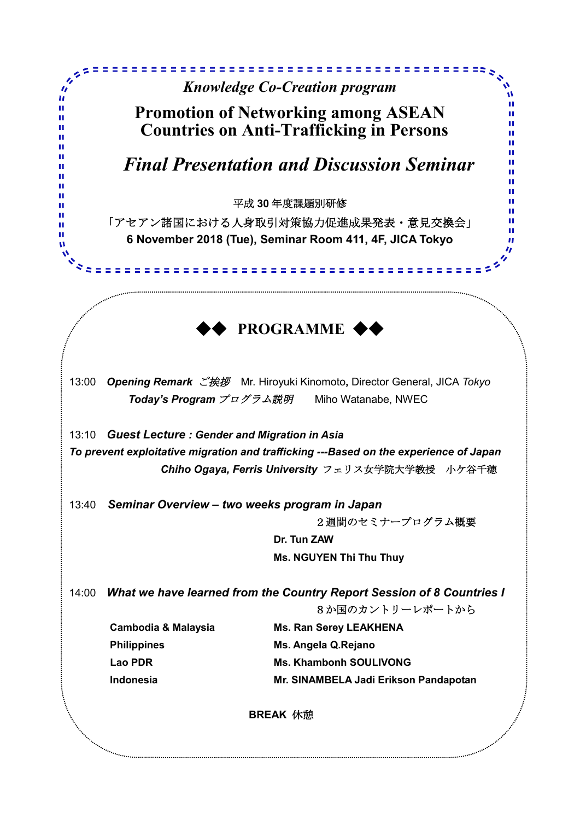